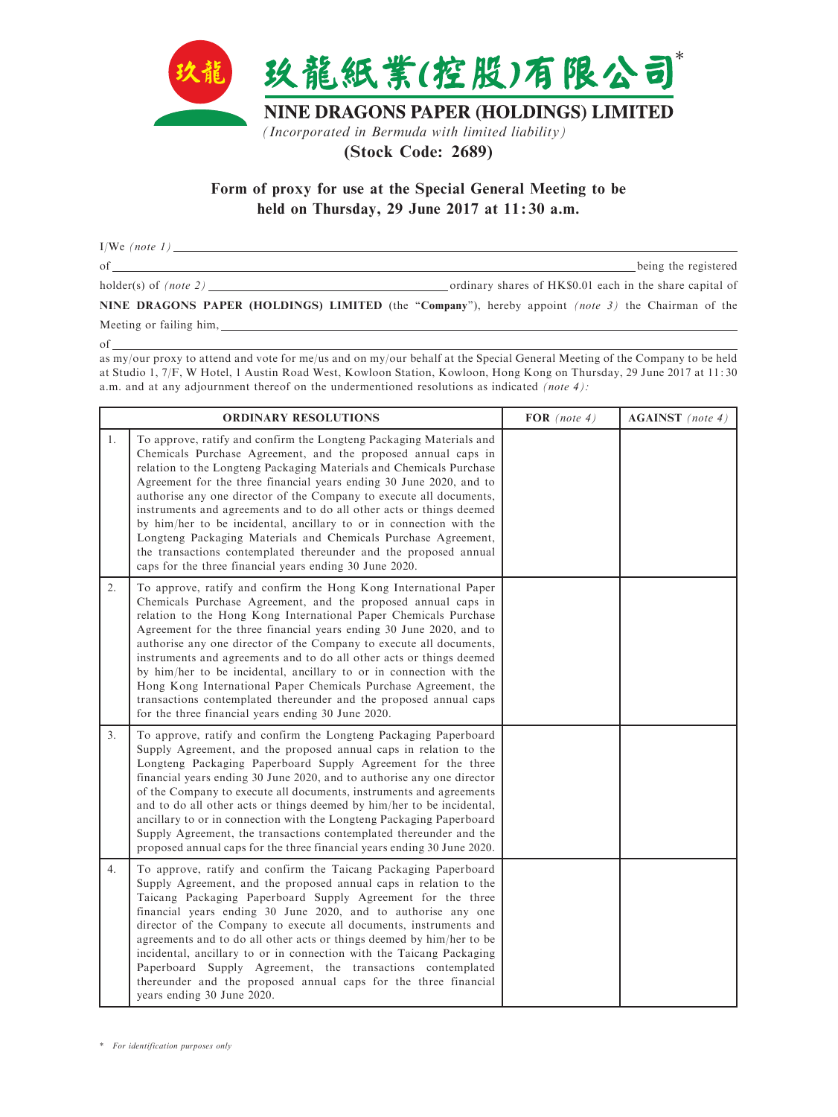

(Stock Code: 2689)

Form of proxy for use at the Special General Meeting to be held on Thursday, 29 June 2017 at 11: 30 a.m.

 $I/We$  (note 1) of being the registered holder(s) of (note 2) ordinary shares of HK\$0.01 each in the share capital of NINE DRAGONS PAPER (HOLDINGS) LIMITED (the "Company"), hereby appoint *(note 3)* the Chairman of the

Meeting or failing him,

of

as my/our proxy to attend and vote for me/us and on my/our behalf at the Special General Meeting of the Company to be held at Studio 1, 7/F, W Hotel, 1 Austin Road West, Kowloon Station, Kowloon, Hong Kong on Thursday, 29 June 2017 at 11: 30 a.m. and at any adjournment thereof on the undermentioned resolutions as indicated (note 4):

| <b>ORDINARY RESOLUTIONS</b> |                                                                                                                                                                                                                                                                                                                                                                                                                                                                                                                                                                                                                                                                                                           | FOR $(note 4)$ | <b>AGAINST</b> (note 4) |
|-----------------------------|-----------------------------------------------------------------------------------------------------------------------------------------------------------------------------------------------------------------------------------------------------------------------------------------------------------------------------------------------------------------------------------------------------------------------------------------------------------------------------------------------------------------------------------------------------------------------------------------------------------------------------------------------------------------------------------------------------------|----------------|-------------------------|
| 1.                          | To approve, ratify and confirm the Longteng Packaging Materials and<br>Chemicals Purchase Agreement, and the proposed annual caps in<br>relation to the Longteng Packaging Materials and Chemicals Purchase<br>Agreement for the three financial years ending 30 June 2020, and to<br>authorise any one director of the Company to execute all documents,<br>instruments and agreements and to do all other acts or things deemed<br>by him/her to be incidental, ancillary to or in connection with the<br>Longteng Packaging Materials and Chemicals Purchase Agreement,<br>the transactions contemplated thereunder and the proposed annual<br>caps for the three financial years ending 30 June 2020. |                |                         |
| 2.                          | To approve, ratify and confirm the Hong Kong International Paper<br>Chemicals Purchase Agreement, and the proposed annual caps in<br>relation to the Hong Kong International Paper Chemicals Purchase<br>Agreement for the three financial years ending 30 June 2020, and to<br>authorise any one director of the Company to execute all documents,<br>instruments and agreements and to do all other acts or things deemed<br>by him/her to be incidental, ancillary to or in connection with the<br>Hong Kong International Paper Chemicals Purchase Agreement, the<br>transactions contemplated thereunder and the proposed annual caps<br>for the three financial years ending 30 June 2020.          |                |                         |
| 3.                          | To approve, ratify and confirm the Longteng Packaging Paperboard<br>Supply Agreement, and the proposed annual caps in relation to the<br>Longteng Packaging Paperboard Supply Agreement for the three<br>financial years ending 30 June 2020, and to authorise any one director<br>of the Company to execute all documents, instruments and agreements<br>and to do all other acts or things deemed by him/her to be incidental,<br>ancillary to or in connection with the Longteng Packaging Paperboard<br>Supply Agreement, the transactions contemplated thereunder and the<br>proposed annual caps for the three financial years ending 30 June 2020.                                                 |                |                         |
| 4.                          | To approve, ratify and confirm the Taicang Packaging Paperboard<br>Supply Agreement, and the proposed annual caps in relation to the<br>Taicang Packaging Paperboard Supply Agreement for the three<br>financial years ending 30 June 2020, and to authorise any one<br>director of the Company to execute all documents, instruments and<br>agreements and to do all other acts or things deemed by him/her to be<br>incidental, ancillary to or in connection with the Taicang Packaging<br>Paperboard Supply Agreement, the transactions contemplated<br>thereunder and the proposed annual caps for the three financial<br>years ending 30 June 2020.                                                 |                |                         |

\* For identification purposes only